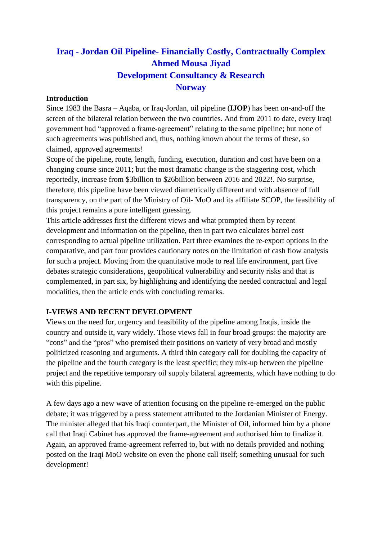# **Iraq - Jordan Oil Pipeline- Financially Costly, Contractually Complex Ahmed Mousa Jiyad Development Consultancy & Research Norway**

#### **Introduction**

Since 1983 the Basra – Aqaba, or Iraq-Jordan, oil pipeline (**IJOP**) has been on-and-off the screen of the bilateral relation between the two countries. And from 2011 to date, every Iraqi government had "approved a frame-agreement" relating to the same pipeline; but none of such agreements was published and, thus, nothing known about the terms of these, so claimed, approved agreements!

Scope of the pipeline, route, length, funding, execution, duration and cost have been on a changing course since 2011; but the most dramatic change is the staggering cost, which reportedly, increase from \$3billion to \$26billion between 2016 and 2022!. No surprise, therefore, this pipeline have been viewed diametrically different and with absence of full transparency, on the part of the Ministry of Oil- MoO and its affiliate SCOP, the feasibility of this project remains a pure intelligent guessing.

This article addresses first the different views and what prompted them by recent development and information on the pipeline, then in part two calculates barrel cost corresponding to actual pipeline utilization. Part three examines the re-export options in the comparative, and part four provides cautionary notes on the limitation of cash flow analysis for such a project. Moving from the quantitative mode to real life environment, part five debates strategic considerations, geopolitical vulnerability and security risks and that is complemented, in part six, by highlighting and identifying the needed contractual and legal modalities, then the article ends with concluding remarks.

#### **I-VIEWS AND RECENT DEVELOPMENT**

Views on the need for, urgency and feasibility of the pipeline among Iraqis, inside the country and outside it, vary widely. Those views fall in four broad groups: the majority are "cons" and the "pros" who premised their positions on variety of very broad and mostly politicized reasoning and arguments. A third thin category call for doubling the capacity of the pipeline and the fourth category is the least specific; they mix-up between the pipeline project and the repetitive temporary oil supply bilateral agreements, which have nothing to do with this pipeline.

A few days ago a new wave of attention focusing on the pipeline re-emerged on the public debate; it was triggered by a press statement attributed to the Jordanian Minister of Energy. The minister alleged that his Iraqi counterpart, the Minister of Oil, informed him by a phone call that Iraqi Cabinet has approved the frame-agreement and authorised him to finalize it. Again, an approved frame-agreement referred to, but with no details provided and nothing posted on the Iraqi MoO website on even the phone call itself; something unusual for such development!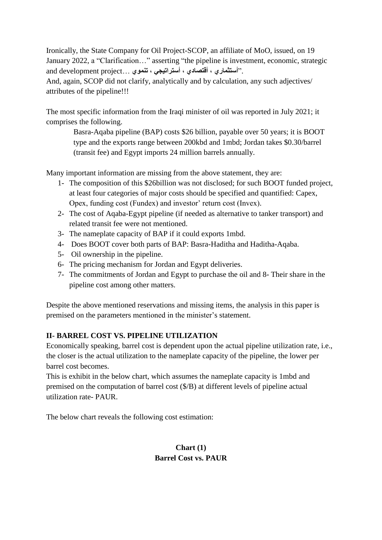Ironically, the State Company for Oil Project-SCOP, an affiliate of MoO, issued, on 19 January 2022, a "Clarification…" asserting "the pipeline is investment, economic, strategic ."**أستثماري ، أقتصادي ، أستراتيجي ، تنموي** ...project development and

And, again, SCOP did not clarify, analytically and by calculation, any such adjectives/ attributes of the pipeline!!!

The most specific information from the Iraqi minister of oil was reported in July 2021; it comprises the following.

Basra-Aqaba pipeline (BAP) costs \$26 billion, payable over 50 years; it is BOOT type and the exports range between 200kbd and 1mbd; Jordan takes \$0.30/barrel (transit fee) and Egypt imports 24 million barrels annually.

Many important information are missing from the above statement, they are:

- 1- The composition of this \$26billion was not disclosed; for such BOOT funded project, at least four categories of major costs should be specified and quantified: Capex, Opex, funding cost (Fundex) and investor' return cost (Invex).
- 2- The cost of Aqaba-Egypt pipeline (if needed as alternative to tanker transport) and related transit fee were not mentioned.
- 3- The nameplate capacity of BAP if it could exports 1mbd.
- 4- Does BOOT cover both parts of BAP: Basra-Haditha and Haditha-Aqaba.
- 5- Oil ownership in the pipeline.
- 6- The pricing mechanism for Jordan and Egypt deliveries.
- 7- The commitments of Jordan and Egypt to purchase the oil and 8- Their share in the pipeline cost among other matters.

Despite the above mentioned reservations and missing items, the analysis in this paper is premised on the parameters mentioned in the minister's statement.

# **II- BARREL COST VS. PIPELINE UTILIZATION**

Economically speaking, barrel cost is dependent upon the actual pipeline utilization rate, i.e., the closer is the actual utilization to the nameplate capacity of the pipeline, the lower per barrel cost becomes.

This is exhibit in the below chart, which assumes the nameplate capacity is 1mbd and premised on the computation of barrel cost (\$/B) at different levels of pipeline actual utilization rate- PAUR.

The below chart reveals the following cost estimation:

## **Chart (1) Barrel Cost vs. PAUR**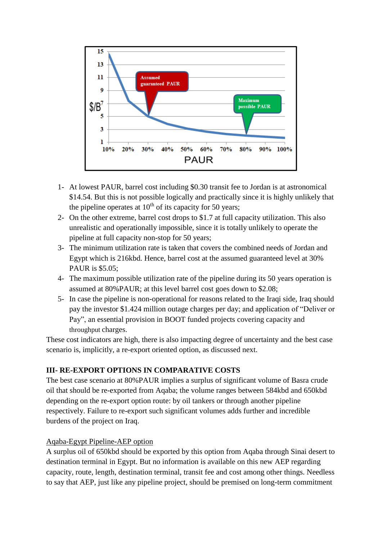

- 1- At lowest PAUR, barrel cost including \$0.30 transit fee to Jordan is at astronomical \$14.54. But this is not possible logically and practically since it is highly unlikely that the pipeline operates at  $10^{th}$  of its capacity for 50 years;
- 2- On the other extreme, barrel cost drops to \$1.7 at full capacity utilization. This also unrealistic and operationally impossible, since it is totally unlikely to operate the pipeline at full capacity non-stop for 50 years;
- 3- The minimum utilization rate is taken that covers the combined needs of Jordan and Egypt which is 216kbd. Hence, barrel cost at the assumed guaranteed level at 30% PAUR is \$5.05;
- 4- The maximum possible utilization rate of the pipeline during its 50 years operation is assumed at 80%PAUR; at this level barrel cost goes down to \$2.08;
- 5- In case the pipeline is non-operational for reasons related to the Iraqi side, Iraq should pay the investor \$1.424 million outage charges per day; and application of "Deliver or Pay", an essential provision in BOOT funded projects covering capacity and throughput charges.

These cost indicators are high, there is also impacting degree of uncertainty and the best case scenario is, implicitly, a re-export oriented option, as discussed next.

## **III- RE-EXPORT OPTIONS IN COMPARATIVE COSTS**

The best case scenario at 80%PAUR implies a surplus of significant volume of Basra crude oil that should be re-exported from Aqaba; the volume ranges between 584kbd and 650kbd depending on the re-export option route: by oil tankers or through another pipeline respectively. Failure to re-export such significant volumes adds further and incredible burdens of the project on Iraq.

## Aqaba-Egypt Pipeline-AEP option

A surplus oil of 650kbd should be exported by this option from Aqaba through Sinai desert to destination terminal in Egypt. But no information is available on this new AEP regarding capacity, route, length, destination terminal, transit fee and cost among other things. Needless to say that AEP, just like any pipeline project, should be premised on long-term commitment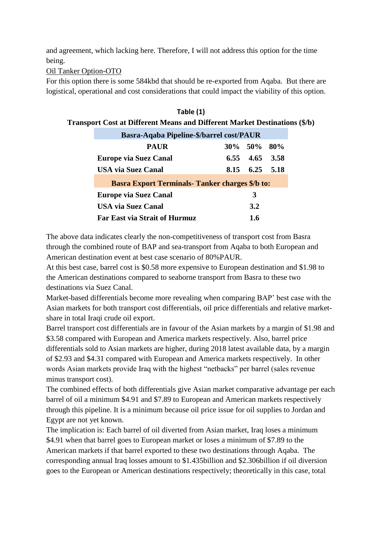and agreement, which lacking here. Therefore, I will not address this option for the time being.

Oil Tanker Option-OTO

For this option there is some 584kbd that should be re-exported from Aqaba. But there are logistical, operational and cost considerations that could impact the viability of this option.

| Table (1)                                                                         |      |                |           |  |
|-----------------------------------------------------------------------------------|------|----------------|-----------|--|
| <b>Transport Cost at Different Means and Different Market Destinations (\$/b)</b> |      |                |           |  |
| <b>Basra-Aqaba Pipeline-\$/barrel cost/PAUR</b>                                   |      |                |           |  |
| <b>PAUR</b>                                                                       |      | 30\% 50\% 80\% |           |  |
| Europe via Suez Canal                                                             |      | 6.55 4.65 3.58 |           |  |
| <b>USA via Suez Canal</b>                                                         | 8.15 |                | 6.25 5.18 |  |
| <b>Basra Export Terminals- Tanker charges \$/b to:</b>                            |      |                |           |  |
| <b>Europe via Suez Canal</b>                                                      |      | 3              |           |  |
| <b>USA via Suez Canal</b>                                                         |      | 3.2            |           |  |
| <b>Far East via Strait of Hurmuz</b>                                              |      | 1.6            |           |  |

The above data indicates clearly the non-competitiveness of transport cost from Basra through the combined route of BAP and sea-transport from Aqaba to both European and American destination event at best case scenario of 80%PAUR.

At this best case, barrel cost is \$0.58 more expensive to European destination and \$1.98 to the American destinations compared to seaborne transport from Basra to these two destinations via Suez Canal.

Market-based differentials become more revealing when comparing BAP' best case with the Asian markets for both transport cost differentials, oil price differentials and relative marketshare in total Iraqi crude oil export.

Barrel transport cost differentials are in favour of the Asian markets by a margin of \$1.98 and \$3.58 compared with European and America markets respectively. Also, barrel price differentials sold to Asian markets are higher, during 2018 latest available data, by a margin of \$2.93 and \$4.31 compared with European and America markets respectively. In other words Asian markets provide Iraq with the highest "netbacks" per barrel (sales revenue minus transport cost).

The combined effects of both differentials give Asian market comparative advantage per each barrel of oil a minimum \$4.91 and \$7.89 to European and American markets respectively through this pipeline. It is a minimum because oil price issue for oil supplies to Jordan and Egypt are not yet known.

The implication is: Each barrel of oil diverted from Asian market, Iraq loses a minimum \$4.91 when that barrel goes to European market or loses a minimum of \$7.89 to the American markets if that barrel exported to these two destinations through Aqaba. The corresponding annual Iraq losses amount to \$1.435billion and \$2.306billion if oil diversion goes to the European or American destinations respectively; theoretically in this case, total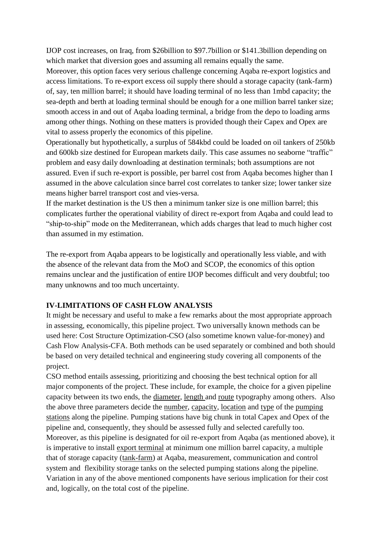IJOP cost increases, on Iraq, from \$26billion to \$97.7billion or \$141.3billion depending on which market that diversion goes and assuming all remains equally the same.

Moreover, this option faces very serious challenge concerning Aqaba re-export logistics and access limitations. To re-export excess oil supply there should a storage capacity (tank-farm) of, say, ten million barrel; it should have loading terminal of no less than 1mbd capacity; the sea-depth and berth at loading terminal should be enough for a one million barrel tanker size; smooth access in and out of Aqaba loading terminal, a bridge from the depo to loading arms among other things. Nothing on these matters is provided though their Capex and Opex are vital to assess properly the economics of this pipeline.

Operationally but hypothetically, a surplus of 584kbd could be loaded on oil tankers of 250kb and 600kb size destined for European markets daily. This case assumes no seaborne "traffic" problem and easy daily downloading at destination terminals; both assumptions are not assured. Even if such re-export is possible, per barrel cost from Aqaba becomes higher than I assumed in the above calculation since barrel cost correlates to tanker size; lower tanker size means higher barrel transport cost and vies-versa.

If the market destination is the US then a minimum tanker size is one million barrel; this complicates further the operational viability of direct re-export from Aqaba and could lead to "ship-to-ship" mode on the Mediterranean, which adds charges that lead to much higher cost than assumed in my estimation.

The re-export from Aqaba appears to be logistically and operationally less viable, and with the absence of the relevant data from the MoO and SCOP, the economics of this option remains unclear and the justification of entire IJOP becomes difficult and very doubtful; too many unknowns and too much uncertainty.

## **IV-LIMITATIONS OF CASH FLOW ANALYSIS**

It might be necessary and useful to make a few remarks about the most appropriate approach in assessing, economically, this pipeline project. Two universally known methods can be used here: Cost Structure Optimization-CSO (also sometime known value-for-money) and Cash Flow Analysis-CFA. Both methods can be used separately or combined and both should be based on very detailed technical and engineering study covering all components of the project.

CSO method entails assessing, prioritizing and choosing the best technical option for all major components of the project. These include, for example, the choice for a given pipeline capacity between its two ends, the diameter, length and route typography among others. Also the above three parameters decide the number, capacity, location and type of the pumping stations along the pipeline. Pumping stations have big chunk in total Capex and Opex of the pipeline and, consequently, they should be assessed fully and selected carefully too. Moreover, as this pipeline is designated for oil re-export from Aqaba (as mentioned above), it is imperative to install export terminal at minimum one million barrel capacity, a multiple that of storage capacity (tank-farm) at Aqaba, measurement, communication and control system and flexibility storage tanks on the selected pumping stations along the pipeline. Variation in any of the above mentioned components have serious implication for their cost and, logically, on the total cost of the pipeline.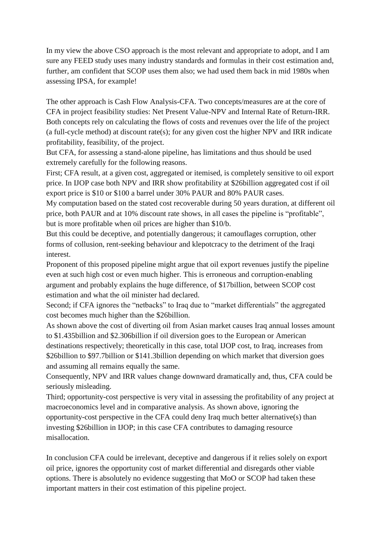In my view the above CSO approach is the most relevant and appropriate to adopt, and I am sure any FEED study uses many industry standards and formulas in their cost estimation and, further, am confident that SCOP uses them also; we had used them back in mid 1980s when assessing IPSA, for example!

The other approach is Cash Flow Analysis-CFA. Two concepts/measures are at the core of CFA in project feasibility studies: Net Present Value-NPV and Internal Rate of Return-IRR. Both concepts rely on calculating the flows of costs and revenues over the life of the project (a full-cycle method) at discount rate(s); for any given cost the higher NPV and IRR indicate profitability, feasibility, of the project.

But CFA, for assessing a stand-alone pipeline, has limitations and thus should be used extremely carefully for the following reasons.

First; CFA result, at a given cost, aggregated or itemised, is completely sensitive to oil export price. In IJOP case both NPV and IRR show profitability at \$26billion aggregated cost if oil export price is \$10 or \$100 a barrel under 30% PAUR and 80% PAUR cases.

My computation based on the stated cost recoverable during 50 years duration, at different oil price, both PAUR and at 10% discount rate shows, in all cases the pipeline is "profitable", but is more profitable when oil prices are higher than \$10/b.

But this could be deceptive, and potentially dangerous; it camouflages corruption, other forms of collusion, rent-seeking behaviour and klepotcracy to the detriment of the Iraqi interest.

Proponent of this proposed pipeline might argue that oil export revenues justify the pipeline even at such high cost or even much higher. This is erroneous and corruption-enabling argument and probably explains the huge difference, of \$17billion, between SCOP cost estimation and what the oil minister had declared.

Second; if CFA ignores the "netbacks" to Iraq due to "market differentials" the aggregated cost becomes much higher than the \$26billion.

As shown above the cost of diverting oil from Asian market causes Iraq annual losses amount to \$1.435billion and \$2.306billion if oil diversion goes to the European or American destinations respectively; theoretically in this case, total IJOP cost, to Iraq, increases from \$26billion to \$97.7billion or \$141.3billion depending on which market that diversion goes and assuming all remains equally the same.

Consequently, NPV and IRR values change downward dramatically and, thus, CFA could be seriously misleading.

Third; opportunity-cost perspective is very vital in assessing the profitability of any project at macroeconomics level and in comparative analysis. As shown above, ignoring the opportunity-cost perspective in the CFA could deny Iraq much better alternative(s) than investing \$26billion in IJOP; in this case CFA contributes to damaging resource misallocation.

In conclusion CFA could be irrelevant, deceptive and dangerous if it relies solely on export oil price, ignores the opportunity cost of market differential and disregards other viable options. There is absolutely no evidence suggesting that MoO or SCOP had taken these important matters in their cost estimation of this pipeline project.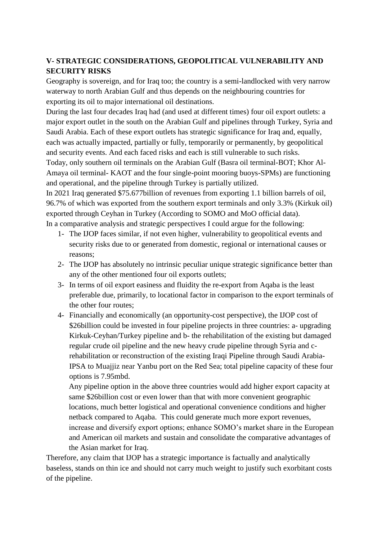## **V- STRATEGIC CONSIDERATIONS, GEOPOLITICAL VULNERABILITY AND SECURITY RISKS**

Geography is sovereign, and for Iraq too; the country is a semi-landlocked with very narrow waterway to north Arabian Gulf and thus depends on the neighbouring countries for exporting its oil to major international oil destinations.

During the last four decades Iraq had (and used at different times) four oil export outlets: a major export outlet in the south on the Arabian Gulf and pipelines through Turkey, Syria and Saudi Arabia. Each of these export outlets has strategic significance for Iraq and, equally, each was actually impacted, partially or fully, temporarily or permanently, by geopolitical and security events. And each faced risks and each is still vulnerable to such risks.

Today, only southern oil terminals on the Arabian Gulf (Basra oil terminal-BOT; Khor Al-Amaya oil terminal- KAOT and the four single-point mooring buoys-SPMs) are functioning and operational, and the pipeline through Turkey is partially utilized.

In 2021 Iraq generated \$75.677billion of revenues from exporting 1.1 billion barrels of oil, 96.7% of which was exported from the southern export terminals and only 3.3% (Kirkuk oil) exported through Ceyhan in Turkey (According to SOMO and MoO official data). In a comparative analysis and strategic perspectives I could argue for the following:

- 1- The IJOP faces similar, if not even higher, vulnerability to geopolitical events and security risks due to or generated from domestic, regional or international causes or reasons;
- 2- The IJOP has absolutely no intrinsic peculiar unique strategic significance better than any of the other mentioned four oil exports outlets;
- 3- In terms of oil export easiness and fluidity the re-export from Aqaba is the least preferable due, primarily, to locational factor in comparison to the export terminals of the other four routes;
- 4- Financially and economically (an opportunity-cost perspective), the IJOP cost of \$26billion could be invested in four pipeline projects in three countries: a- upgrading Kirkuk-Ceyhan/Turkey pipeline and b- the rehabilitation of the existing but damaged regular crude oil pipeline and the new heavy crude pipeline through Syria and crehabilitation or reconstruction of the existing Iraqi Pipeline through Saudi Arabia-IPSA to Muajjiz near Yanbu port on the Red Sea; total pipeline capacity of these four options is 7.95mbd.

Any pipeline option in the above three countries would add higher export capacity at same \$26billion cost or even lower than that with more convenient geographic locations, much better logistical and operational convenience conditions and higher netback compared to Aqaba. This could generate much more export revenues, increase and diversify export options; enhance SOMO's market share in the European and American oil markets and sustain and consolidate the comparative advantages of the Asian market for Iraq.

Therefore, any claim that IJOP has a strategic importance is factually and analytically baseless, stands on thin ice and should not carry much weight to justify such exorbitant costs of the pipeline.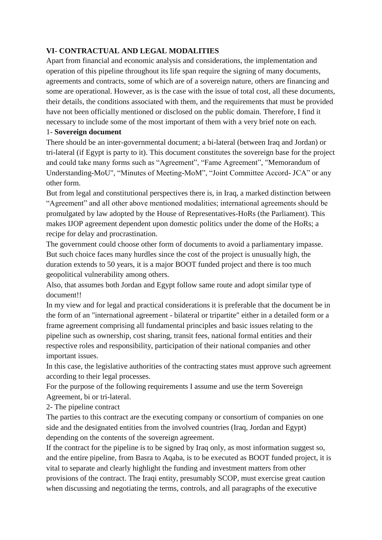## **VI- CONTRACTUAL AND LEGAL MODALITIES**

Apart from financial and economic analysis and considerations, the implementation and operation of this pipeline throughout its life span require the signing of many documents, agreements and contracts, some of which are of a sovereign nature, others are financing and some are operational. However, as is the case with the issue of total cost, all these documents, their details, the conditions associated with them, and the requirements that must be provided have not been officially mentioned or disclosed on the public domain. Therefore, I find it necessary to include some of the most important of them with a very brief note on each.

#### 1- **Sovereign document**

There should be an inter-governmental document; a bi-lateral (between Iraq and Jordan) or tri-lateral (if Egypt is party to it). This document constitutes the sovereign base for the project and could take many forms such as "Agreement", "Fame Agreement", "Memorandum of Understanding-MoU", "Minutes of Meeting-MoM", "Joint Committee Accord- JCA" or any other form.

But from legal and constitutional perspectives there is, in Iraq, a marked distinction between "Agreement" and all other above mentioned modalities; international agreements should be promulgated by law adopted by the House of Representatives-HoRs (the Parliament). This makes IJOP agreement dependent upon domestic politics under the dome of the HoRs; a recipe for delay and procrastination.

The government could choose other form of documents to avoid a parliamentary impasse. But such choice faces many hurdles since the cost of the project is unusually high, the duration extends to 50 years, it is a major BOOT funded project and there is too much geopolitical vulnerability among others.

Also, that assumes both Jordan and Egypt follow same route and adopt similar type of document!!

In my view and for legal and practical considerations it is preferable that the document be in the form of an "international agreement - bilateral or tripartite" either in a detailed form or a frame agreement comprising all fundamental principles and basic issues relating to the pipeline such as ownership, cost sharing, transit fees, national formal entities and their respective roles and responsibility, participation of their national companies and other important issues.

In this case, the legislative authorities of the contracting states must approve such agreement according to their legal processes.

For the purpose of the following requirements I assume and use the term Sovereign Agreement, bi or tri-lateral.

2- The pipeline contract

The parties to this contract are the executing company or consortium of companies on one side and the designated entities from the involved countries (Iraq, Jordan and Egypt) depending on the contents of the sovereign agreement.

If the contract for the pipeline is to be signed by Iraq only, as most information suggest so, and the entire pipeline, from Basra to Aqaba, is to be executed as BOOT funded project, it is vital to separate and clearly highlight the funding and investment matters from other provisions of the contract. The Iraqi entity, presumably SCOP, must exercise great caution when discussing and negotiating the terms, controls, and all paragraphs of the executive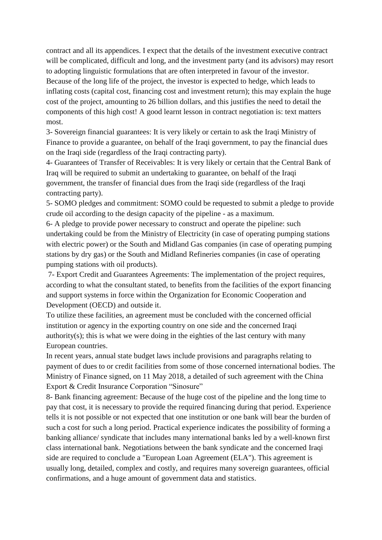contract and all its appendices. I expect that the details of the investment executive contract will be complicated, difficult and long, and the investment party (and its advisors) may resort to adopting linguistic formulations that are often interpreted in favour of the investor. Because of the long life of the project, the investor is expected to hedge, which leads to inflating costs (capital cost, financing cost and investment return); this may explain the huge cost of the project, amounting to 26 billion dollars, and this justifies the need to detail the components of this high cost! A good learnt lesson in contract negotiation is: text matters most.

3- Sovereign financial guarantees: It is very likely or certain to ask the Iraqi Ministry of Finance to provide a guarantee, on behalf of the Iraqi government, to pay the financial dues on the Iraqi side (regardless of the Iraqi contracting party).

4- Guarantees of Transfer of Receivables: It is very likely or certain that the Central Bank of Iraq will be required to submit an undertaking to guarantee, on behalf of the Iraqi government, the transfer of financial dues from the Iraqi side (regardless of the Iraqi contracting party).

5- SOMO pledges and commitment: SOMO could be requested to submit a pledge to provide crude oil according to the design capacity of the pipeline - as a maximum.

6- A pledge to provide power necessary to construct and operate the pipeline: such undertaking could be from the Ministry of Electricity (in case of operating pumping stations with electric power) or the South and Midland Gas companies (in case of operating pumping stations by dry gas) or the South and Midland Refineries companies (in case of operating pumping stations with oil products).

7- Export Credit and Guarantees Agreements: The implementation of the project requires, according to what the consultant stated, to benefits from the facilities of the export financing and support systems in force within the Organization for Economic Cooperation and Development (OECD) and outside it.

To utilize these facilities, an agreement must be concluded with the concerned official institution or agency in the exporting country on one side and the concerned Iraqi authority(s); this is what we were doing in the eighties of the last century with many European countries.

In recent years, annual state budget laws include provisions and paragraphs relating to payment of dues to or credit facilities from some of those concerned international bodies. The Ministry of Finance signed, on 11 May 2018, a detailed of such agreement with the China Export & Credit Insurance Corporation "Sinosure"

8- Bank financing agreement: Because of the huge cost of the pipeline and the long time to pay that cost, it is necessary to provide the required financing during that period. Experience tells it is not possible or not expected that one institution or one bank will bear the burden of such a cost for such a long period. Practical experience indicates the possibility of forming a banking alliance/ syndicate that includes many international banks led by a well-known first class international bank. Negotiations between the bank syndicate and the concerned Iraqi side are required to conclude a "European Loan Agreement (ELA"). This agreement is usually long, detailed, complex and costly, and requires many sovereign guarantees, official confirmations, and a huge amount of government data and statistics.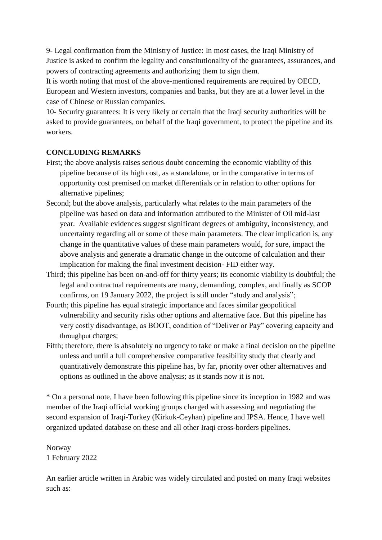9- Legal confirmation from the Ministry of Justice: In most cases, the Iraqi Ministry of Justice is asked to confirm the legality and constitutionality of the guarantees, assurances, and powers of contracting agreements and authorizing them to sign them.

It is worth noting that most of the above-mentioned requirements are required by OECD, European and Western investors, companies and banks, but they are at a lower level in the case of Chinese or Russian companies.

10- Security guarantees: It is very likely or certain that the Iraqi security authorities will be asked to provide guarantees, on behalf of the Iraqi government, to protect the pipeline and its workers.

#### **CONCLUDING REMARKS**

- First; the above analysis raises serious doubt concerning the economic viability of this pipeline because of its high cost, as a standalone, or in the comparative in terms of opportunity cost premised on market differentials or in relation to other options for alternative pipelines;
- Second; but the above analysis, particularly what relates to the main parameters of the pipeline was based on data and information attributed to the Minister of Oil mid-last year. Available evidences suggest significant degrees of ambiguity, inconsistency, and uncertainty regarding all or some of these main parameters. The clear implication is, any change in the quantitative values of these main parameters would, for sure, impact the above analysis and generate a dramatic change in the outcome of calculation and their implication for making the final investment decision- FID either way.
- Third; this pipeline has been on-and-off for thirty years; its economic viability is doubtful; the legal and contractual requirements are many, demanding, complex, and finally as SCOP confirms, on 19 January 2022, the project is still under "study and analysis";
- Fourth; this pipeline has equal strategic importance and faces similar geopolitical vulnerability and security risks other options and alternative face. But this pipeline has very costly disadvantage, as BOOT, condition of "Deliver or Pay" covering capacity and throughput charges;
- Fifth; therefore, there is absolutely no urgency to take or make a final decision on the pipeline unless and until a full comprehensive comparative feasibility study that clearly and quantitatively demonstrate this pipeline has, by far, priority over other alternatives and options as outlined in the above analysis; as it stands now it is not.

\* On a personal note, I have been following this pipeline since its inception in 1982 and was member of the Iraqi official working groups charged with assessing and negotiating the second expansion of Iraqi-Turkey (Kirkuk-Ceyhan) pipeline and IPSA. Hence, I have well organized updated database on these and all other Iraqi cross-borders pipelines.

Norway 1 February 2022

An earlier article written in Arabic was widely circulated and posted on many Iraqi websites such as: